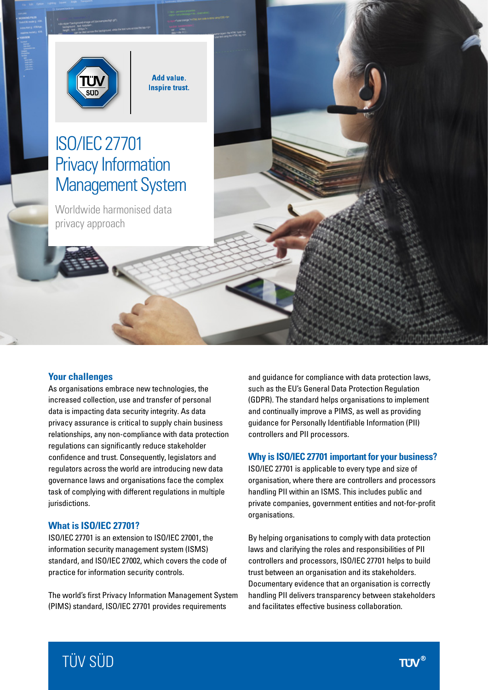

**Add value. Inspire trust.** 

# ISO/IEC 27701 Privacy Information Management System

Worldwide harmonised data privacy approach

#### **Your challenges**

As organisations embrace new technologies, the increased collection, use and transfer of personal data is impacting data security integrity. As data privacy assurance is critical to supply chain business relationships, any non-compliance with data protection regulations can significantly reduce stakeholder confidence and trust. Consequently, legislators and regulators across the world are introducing new data governance laws and organisations face the complex task of complying with different regulations in multiple jurisdictions.

#### **What is ISO/IEC 27701?**

ISO/IEC 27701 is an extension to ISO/IEC 27001, the information security management system (ISMS) standard, and ISO/IEC 27002, which covers the code of practice for information security controls.

The world's first Privacy Information Management System (PIMS) standard, ISO/IEC 27701 provides requirements

and guidance for compliance with data protection laws, such as the EU's General Data Protection Regulation (GDPR). The standard helps organisations to implement and continually improve a PIMS, as well as providing guidance for Personally Identifiable Information (PII) controllers and PII processors.

#### **Why is ISO/IEC 27701 important for your business?**

ISO/IEC 27701 is applicable to every type and size of organisation, where there are controllers and processors handling PII within an ISMS. This includes public and private companies, government entities and not-for-profit organisations.

By helping organisations to comply with data protection laws and clarifying the roles and responsibilities of PII controllers and processors, ISO/IEC 27701 helps to build trust between an organisation and its stakeholders. Documentary evidence that an organisation is correctly handling PII delivers transparency between stakeholders and facilitates effective business collaboration.

# TÜV SÜD